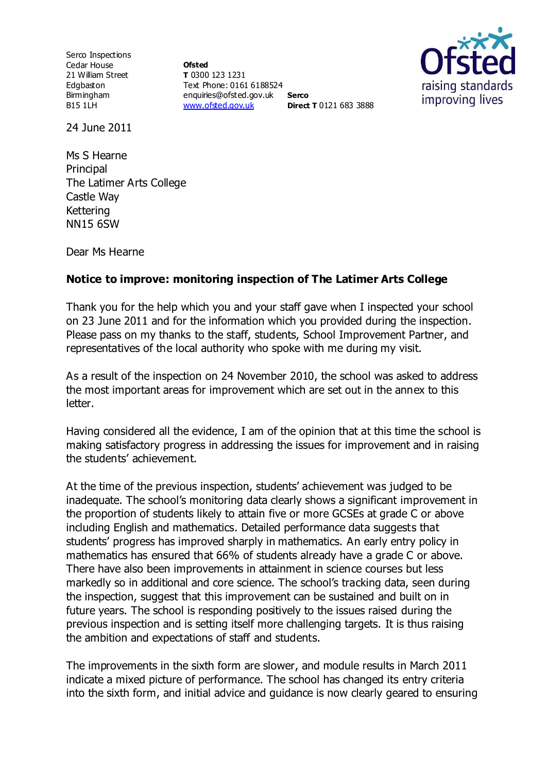Serco Inspections Cedar House 21 William Street Edgbaston Birmingham B15 1LH

**Ofsted T** 0300 123 1231 Text Phone: 0161 6188524 enquiries@ofsted.gov.uk **Serco** [www.ofsted.gov.uk](http://www.ofsted.gov.uk/) **Direct T** 0121 683 3888



24 June 2011

Ms S Hearne Principal The Latimer Arts College Castle Way Kettering NN15 6SW

Dear Ms Hearne

## **Notice to improve: monitoring inspection of The Latimer Arts College**

Thank you for the help which you and your staff gave when I inspected your school on 23 June 2011 and for the information which you provided during the inspection. Please pass on my thanks to the staff, students, School Improvement Partner, and representatives of the local authority who spoke with me during my visit.

As a result of the inspection on 24 November 2010, the school was asked to address the most important areas for improvement which are set out in the annex to this letter.

Having considered all the evidence, I am of the opinion that at this time the school is making satisfactory progress in addressing the issues for improvement and in raising the students' achievement.

At the time of the previous inspection, students' achievement was judged to be inadequate. The school's monitoring data clearly shows a significant improvement in the proportion of students likely to attain five or more GCSEs at grade C or above including English and mathematics. Detailed performance data suggests that students' progress has improved sharply in mathematics. An early entry policy in mathematics has ensured that 66% of students already have a grade C or above. There have also been improvements in attainment in science courses but less markedly so in additional and core science. The school's tracking data, seen during the inspection, suggest that this improvement can be sustained and built on in future years. The school is responding positively to the issues raised during the previous inspection and is setting itself more challenging targets. It is thus raising the ambition and expectations of staff and students.

The improvements in the sixth form are slower, and module results in March 2011 indicate a mixed picture of performance. The school has changed its entry criteria into the sixth form, and initial advice and guidance is now clearly geared to ensuring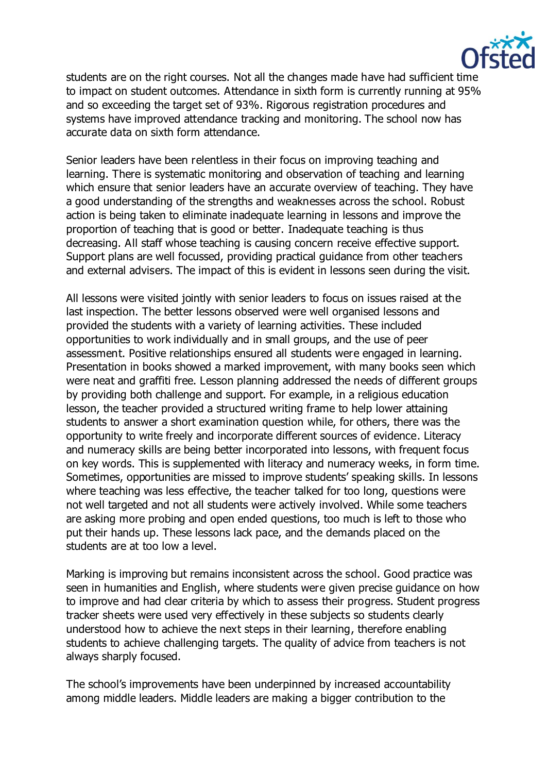

students are on the right courses. Not all the changes made have had sufficient time to impact on student outcomes. Attendance in sixth form is currently running at 95% and so exceeding the target set of 93%. Rigorous registration procedures and systems have improved attendance tracking and monitoring. The school now has accurate data on sixth form attendance.

Senior leaders have been relentless in their focus on improving teaching and learning. There is systematic monitoring and observation of teaching and learning which ensure that senior leaders have an accurate overview of teaching. They have a good understanding of the strengths and weaknesses across the school. Robust action is being taken to eliminate inadequate learning in lessons and improve the proportion of teaching that is good or better. Inadequate teaching is thus decreasing. All staff whose teaching is causing concern receive effective support. Support plans are well focussed, providing practical guidance from other teachers and external advisers. The impact of this is evident in lessons seen during the visit.

All lessons were visited jointly with senior leaders to focus on issues raised at the last inspection. The better lessons observed were well organised lessons and provided the students with a variety of learning activities. These included opportunities to work individually and in small groups, and the use of peer assessment. Positive relationships ensured all students were engaged in learning. Presentation in books showed a marked improvement, with many books seen which were neat and graffiti free. Lesson planning addressed the needs of different groups by providing both challenge and support. For example, in a religious education lesson, the teacher provided a structured writing frame to help lower attaining students to answer a short examination question while, for others, there was the opportunity to write freely and incorporate different sources of evidence. Literacy and numeracy skills are being better incorporated into lessons, with frequent focus on key words. This is supplemented with literacy and numeracy weeks, in form time. Sometimes, opportunities are missed to improve students' speaking skills. In lessons where teaching was less effective, the teacher talked for too long, questions were not well targeted and not all students were actively involved. While some teachers are asking more probing and open ended questions, too much is left to those who put their hands up. These lessons lack pace, and the demands placed on the students are at too low a level.

Marking is improving but remains inconsistent across the school. Good practice was seen in humanities and English, where students were given precise guidance on how to improve and had clear criteria by which to assess their progress. Student progress tracker sheets were used very effectively in these subjects so students clearly understood how to achieve the next steps in their learning, therefore enabling students to achieve challenging targets. The quality of advice from teachers is not always sharply focused.

The school's improvements have been underpinned by increased accountability among middle leaders. Middle leaders are making a bigger contribution to the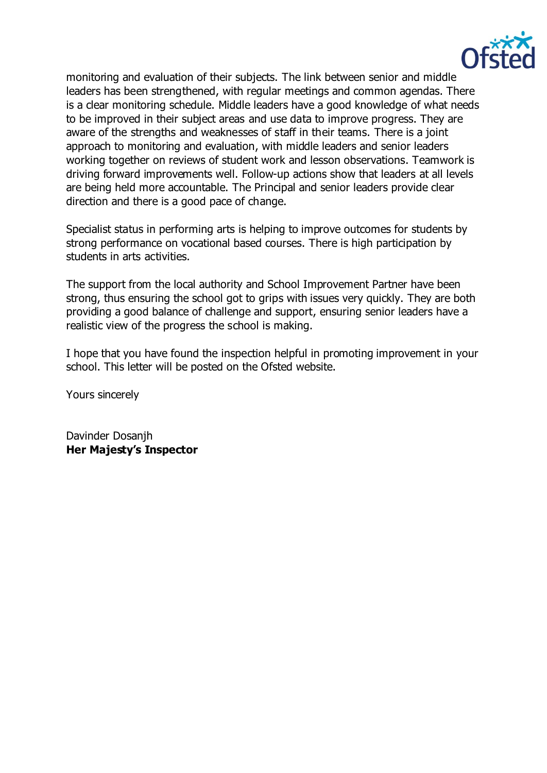

monitoring and evaluation of their subjects. The link between senior and middle leaders has been strengthened, with regular meetings and common agendas. There is a clear monitoring schedule. Middle leaders have a good knowledge of what needs to be improved in their subject areas and use data to improve progress. They are aware of the strengths and weaknesses of staff in their teams. There is a joint approach to monitoring and evaluation, with middle leaders and senior leaders working together on reviews of student work and lesson observations. Teamwork is driving forward improvements well. Follow-up actions show that leaders at all levels are being held more accountable. The Principal and senior leaders provide clear direction and there is a good pace of change.

Specialist status in performing arts is helping to improve outcomes for students by strong performance on vocational based courses. There is high participation by students in arts activities.

The support from the local authority and School Improvement Partner have been strong, thus ensuring the school got to grips with issues very quickly. They are both providing a good balance of challenge and support, ensuring senior leaders have a realistic view of the progress the school is making.

I hope that you have found the inspection helpful in promoting improvement in your school. This letter will be posted on the Ofsted website.

Yours sincerely

Davinder Dosanjh **Her Majesty's Inspector**